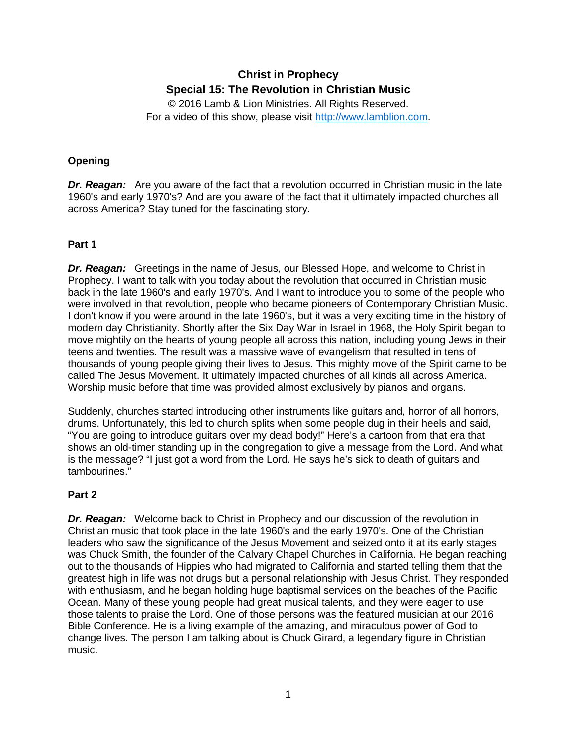# **Christ in Prophecy Special 15: The Revolution in Christian Music**

© 2016 Lamb & Lion Ministries. All Rights Reserved. For a video of this show, please visit [http://www.lamblion.com.](http://www.lamblion.com/)

# **Opening**

**Dr. Reagan:** Are you aware of the fact that a revolution occurred in Christian music in the late 1960's and early 1970's? And are you aware of the fact that it ultimately impacted churches all across America? Stay tuned for the fascinating story.

## **Part 1**

*Dr. Reagan:* Greetings in the name of Jesus, our Blessed Hope, and welcome to Christ in Prophecy. I want to talk with you today about the revolution that occurred in Christian music back in the late 1960's and early 1970's. And I want to introduce you to some of the people who were involved in that revolution, people who became pioneers of Contemporary Christian Music. I don't know if you were around in the late 1960's, but it was a very exciting time in the history of modern day Christianity. Shortly after the Six Day War in Israel in 1968, the Holy Spirit began to move mightily on the hearts of young people all across this nation, including young Jews in their teens and twenties. The result was a massive wave of evangelism that resulted in tens of thousands of young people giving their lives to Jesus. This mighty move of the Spirit came to be called The Jesus Movement. It ultimately impacted churches of all kinds all across America. Worship music before that time was provided almost exclusively by pianos and organs.

Suddenly, churches started introducing other instruments like guitars and, horror of all horrors, drums. Unfortunately, this led to church splits when some people dug in their heels and said, "You are going to introduce guitars over my dead body!" Here's a cartoon from that era that shows an old-timer standing up in the congregation to give a message from the Lord. And what is the message? "I just got a word from the Lord. He says he's sick to death of guitars and tambourines."

## **Part 2**

**Dr. Reagan:** Welcome back to Christ in Prophecy and our discussion of the revolution in Christian music that took place in the late 1960's and the early 1970's. One of the Christian leaders who saw the significance of the Jesus Movement and seized onto it at its early stages was Chuck Smith, the founder of the Calvary Chapel Churches in California. He began reaching out to the thousands of Hippies who had migrated to California and started telling them that the greatest high in life was not drugs but a personal relationship with Jesus Christ. They responded with enthusiasm, and he began holding huge baptismal services on the beaches of the Pacific Ocean. Many of these young people had great musical talents, and they were eager to use those talents to praise the Lord. One of those persons was the featured musician at our 2016 Bible Conference. He is a living example of the amazing, and miraculous power of God to change lives. The person I am talking about is Chuck Girard, a legendary figure in Christian music.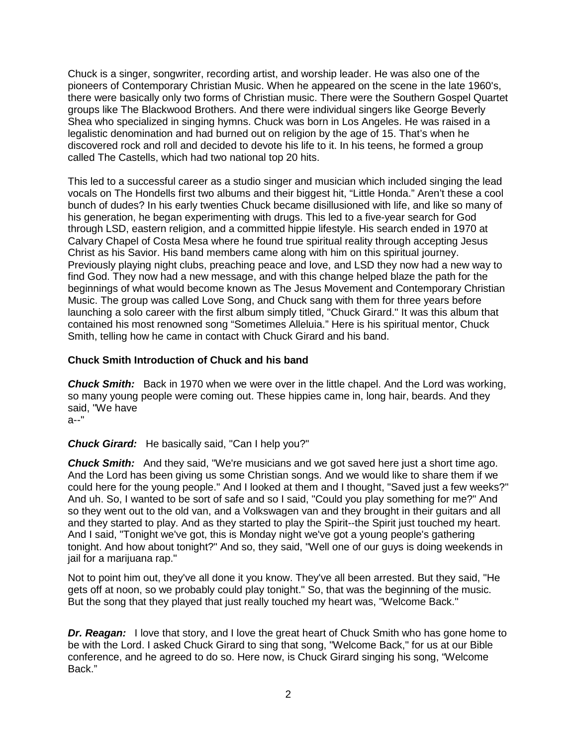Chuck is a singer, songwriter, recording artist, and worship leader. He was also one of the pioneers of Contemporary Christian Music. When he appeared on the scene in the late 1960's, there were basically only two forms of Christian music. There were the Southern Gospel Quartet groups like The Blackwood Brothers. And there were individual singers like George Beverly Shea who specialized in singing hymns. Chuck was born in Los Angeles. He was raised in a legalistic denomination and had burned out on religion by the age of 15. That's when he discovered rock and roll and decided to devote his life to it. In his teens, he formed a group called The Castells, which had two national top 20 hits.

This led to a successful career as a studio singer and musician which included singing the lead vocals on The Hondells first two albums and their biggest hit, "Little Honda." Aren't these a cool bunch of dudes? In his early twenties Chuck became disillusioned with life, and like so many of his generation, he began experimenting with drugs. This led to a five-year search for God through LSD, eastern religion, and a committed hippie lifestyle. His search ended in 1970 at Calvary Chapel of Costa Mesa where he found true spiritual reality through accepting Jesus Christ as his Savior. His band members came along with him on this spiritual journey. Previously playing night clubs, preaching peace and love, and LSD they now had a new way to find God. They now had a new message, and with this change helped blaze the path for the beginnings of what would become known as The Jesus Movement and Contemporary Christian Music. The group was called Love Song, and Chuck sang with them for three years before launching a solo career with the first album simply titled, "Chuck Girard." It was this album that contained his most renowned song "Sometimes Alleluia." Here is his spiritual mentor, Chuck Smith, telling how he came in contact with Chuck Girard and his band.

## **Chuck Smith Introduction of Chuck and his band**

*Chuck Smith:* Back in 1970 when we were over in the little chapel. And the Lord was working, so many young people were coming out. These hippies came in, long hair, beards. And they said, "We have a--"

## *Chuck Girard:* He basically said, "Can I help you?"

*Chuck Smith:* And they said, "We're musicians and we got saved here just a short time ago. And the Lord has been giving us some Christian songs. And we would like to share them if we could here for the young people." And I looked at them and I thought, "Saved just a few weeks?" And uh. So, I wanted to be sort of safe and so I said, "Could you play something for me?" And so they went out to the old van, and a Volkswagen van and they brought in their guitars and all and they started to play. And as they started to play the Spirit--the Spirit just touched my heart. And I said, "Tonight we've got, this is Monday night we've got a young people's gathering tonight. And how about tonight?" And so, they said, "Well one of our guys is doing weekends in jail for a marijuana rap."

Not to point him out, they've all done it you know. They've all been arrested. But they said, "He gets off at noon, so we probably could play tonight." So, that was the beginning of the music. But the song that they played that just really touched my heart was, "Welcome Back."

**Dr. Reagan:** I love that story, and I love the great heart of Chuck Smith who has gone home to be with the Lord. I asked Chuck Girard to sing that song, "Welcome Back," for us at our Bible conference, and he agreed to do so. Here now, is Chuck Girard singing his song, "Welcome Back."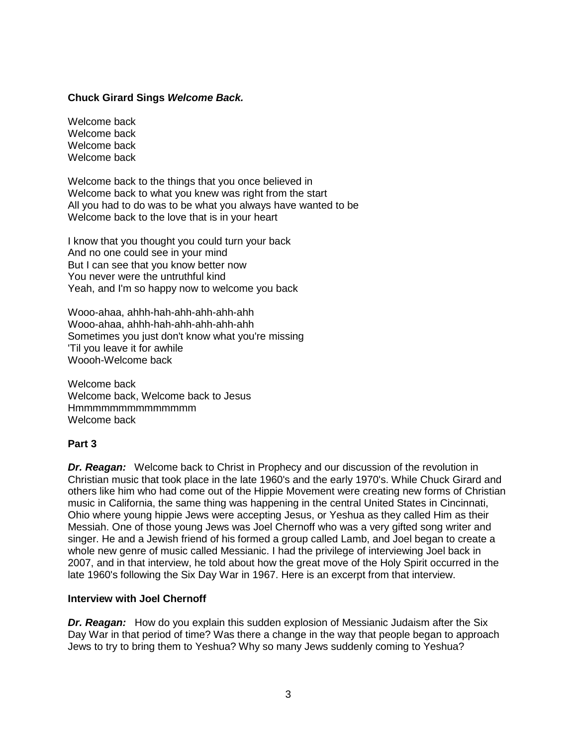## **Chuck Girard Sings** *Welcome Back.*

Welcome back Welcome back Welcome back Welcome back

Welcome back to the things that you once believed in Welcome back to what you knew was right from the start All you had to do was to be what you always have wanted to be Welcome back to the love that is in your heart

I know that you thought you could turn your back And no one could see in your mind But I can see that you know better now You never were the untruthful kind Yeah, and I'm so happy now to welcome you back

Wooo-ahaa, ahhh-hah-ahh-ahh-ahh-ahh Wooo-ahaa, ahhh-hah-ahh-ahh-ahh-ahh Sometimes you just don't know what you're missing 'Til you leave it for awhile Woooh-Welcome back

Welcome back Welcome back, Welcome back to Jesus Hmmmmmmmmmmmmmm Welcome back

## **Part 3**

*Dr. Reagan:* Welcome back to Christ in Prophecy and our discussion of the revolution in Christian music that took place in the late 1960's and the early 1970's. While Chuck Girard and others like him who had come out of the Hippie Movement were creating new forms of Christian music in California, the same thing was happening in the central United States in Cincinnati, Ohio where young hippie Jews were accepting Jesus, or Yeshua as they called Him as their Messiah. One of those young Jews was Joel Chernoff who was a very gifted song writer and singer. He and a Jewish friend of his formed a group called Lamb, and Joel began to create a whole new genre of music called Messianic. I had the privilege of interviewing Joel back in 2007, and in that interview, he told about how the great move of the Holy Spirit occurred in the late 1960's following the Six Day War in 1967. Here is an excerpt from that interview.

#### **Interview with Joel Chernoff**

*Dr. Reagan:* How do you explain this sudden explosion of Messianic Judaism after the Six Day War in that period of time? Was there a change in the way that people began to approach Jews to try to bring them to Yeshua? Why so many Jews suddenly coming to Yeshua?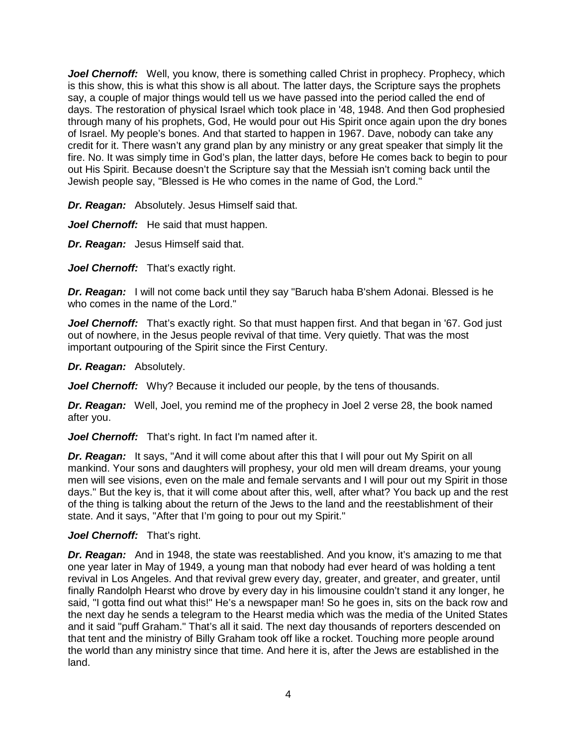*Joel Chernoff:* Well, you know, there is something called Christ in prophecy. Prophecy, which is this show, this is what this show is all about. The latter days, the Scripture says the prophets say, a couple of major things would tell us we have passed into the period called the end of days. The restoration of physical Israel which took place in '48, 1948. And then God prophesied through many of his prophets, God, He would pour out His Spirit once again upon the dry bones of Israel. My people's bones. And that started to happen in 1967. Dave, nobody can take any credit for it. There wasn't any grand plan by any ministry or any great speaker that simply lit the fire. No. It was simply time in God's plan, the latter days, before He comes back to begin to pour out His Spirit. Because doesn't the Scripture say that the Messiah isn't coming back until the Jewish people say, "Blessed is He who comes in the name of God, the Lord."

*Dr. Reagan:* Absolutely. Jesus Himself said that.

*Joel Chernoff:* He said that must happen.

*Dr. Reagan:* Jesus Himself said that.

*Joel Chernoff:* That's exactly right.

*Dr. Reagan:* I will not come back until they say "Baruch haba B'shem Adonai. Blessed is he who comes in the name of the Lord."

*Joel Chernoff:* That's exactly right. So that must happen first. And that began in '67. God just out of nowhere, in the Jesus people revival of that time. Very quietly. That was the most important outpouring of the Spirit since the First Century.

*Dr. Reagan:* Absolutely.

*Joel Chernoff:* Why? Because it included our people, by the tens of thousands.

*Dr. Reagan:* Well, Joel, you remind me of the prophecy in Joel 2 verse 28, the book named after you.

Joel Chernoff: That's right. In fact I'm named after it.

**Dr. Reagan:** It says, "And it will come about after this that I will pour out My Spirit on all mankind. Your sons and daughters will prophesy, your old men will dream dreams, your young men will see visions, even on the male and female servants and I will pour out my Spirit in those days." But the key is, that it will come about after this, well, after what? You back up and the rest of the thing is talking about the return of the Jews to the land and the reestablishment of their state. And it says, "After that I'm going to pour out my Spirit."

#### Joel Chernoff: That's right.

**Dr. Reagan:** And in 1948, the state was reestablished. And you know, it's amazing to me that one year later in May of 1949, a young man that nobody had ever heard of was holding a tent revival in Los Angeles. And that revival grew every day, greater, and greater, and greater, until finally Randolph Hearst who drove by every day in his limousine couldn't stand it any longer, he said, "I gotta find out what this!" He's a newspaper man! So he goes in, sits on the back row and the next day he sends a telegram to the Hearst media which was the media of the United States and it said "puff Graham." That's all it said. The next day thousands of reporters descended on that tent and the ministry of Billy Graham took off like a rocket. Touching more people around the world than any ministry since that time. And here it is, after the Jews are established in the land.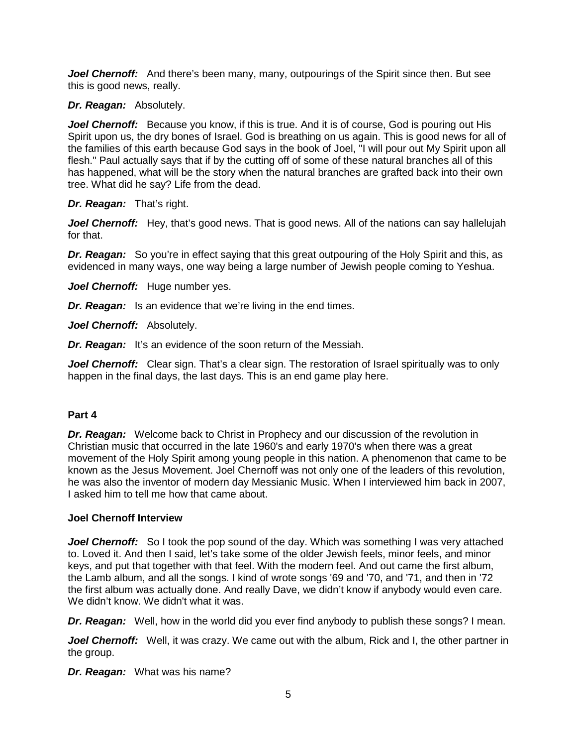*Joel Chernoff:* And there's been many, many, outpourings of the Spirit since then. But see this is good news, really.

### *Dr. Reagan:* Absolutely.

**Joel Chernoff:** Because you know, if this is true. And it is of course, God is pouring out His Spirit upon us, the dry bones of Israel. God is breathing on us again. This is good news for all of the families of this earth because God says in the book of Joel, "I will pour out My Spirit upon all flesh." Paul actually says that if by the cutting off of some of these natural branches all of this has happened, what will be the story when the natural branches are grafted back into their own tree. What did he say? Life from the dead.

## *Dr. Reagan:* That's right.

**Joel Chernoff:** Hey, that's good news. That is good news. All of the nations can say hallelujah for that.

*Dr. Reagan:* So you're in effect saying that this great outpouring of the Holy Spirit and this, as evidenced in many ways, one way being a large number of Jewish people coming to Yeshua.

*Joel Chernoff:* Huge number yes.

*Dr. Reagan:* Is an evidence that we're living in the end times.

*Joel Chernoff:* Absolutely.

*Dr. Reagan:* It's an evidence of the soon return of the Messiah.

*Joel Chernoff:* Clear sign. That's a clear sign. The restoration of Israel spiritually was to only happen in the final days, the last days. This is an end game play here.

## **Part 4**

*Dr. Reagan:* Welcome back to Christ in Prophecy and our discussion of the revolution in Christian music that occurred in the late 1960's and early 1970's when there was a great movement of the Holy Spirit among young people in this nation. A phenomenon that came to be known as the Jesus Movement. Joel Chernoff was not only one of the leaders of this revolution, he was also the inventor of modern day Messianic Music. When I interviewed him back in 2007, I asked him to tell me how that came about.

## **Joel Chernoff Interview**

**Joel Chernoff:** So I took the pop sound of the day. Which was something I was very attached to. Loved it. And then I said, let's take some of the older Jewish feels, minor feels, and minor keys, and put that together with that feel. With the modern feel. And out came the first album, the Lamb album, and all the songs. I kind of wrote songs '69 and '70, and '71, and then in '72 the first album was actually done. And really Dave, we didn't know if anybody would even care. We didn't know. We didn't what it was.

*Dr. Reagan:* Well, how in the world did you ever find anybody to publish these songs? I mean.

*Joel Chernoff:* Well, it was crazy. We came out with the album, Rick and I, the other partner in the group.

*Dr. Reagan:* What was his name?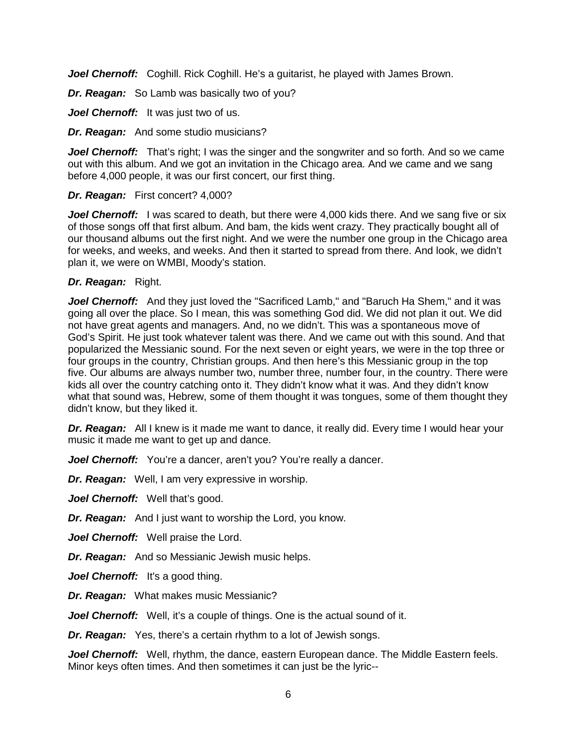*Joel Chernoff:* Coghill. Rick Coghill. He's a guitarist, he played with James Brown.

*Dr. Reagan:* So Lamb was basically two of you?

Joel Chernoff: It was just two of us.

*Dr. Reagan:* And some studio musicians?

*Joel Chernoff:* That's right; I was the singer and the songwriter and so forth. And so we came out with this album. And we got an invitation in the Chicago area. And we came and we sang before 4,000 people, it was our first concert, our first thing.

## *Dr. Reagan:* First concert? 4,000?

**Joel Chernoff:** I was scared to death, but there were 4,000 kids there. And we sang five or six of those songs off that first album. And bam, the kids went crazy. They practically bought all of our thousand albums out the first night. And we were the number one group in the Chicago area for weeks, and weeks, and weeks. And then it started to spread from there. And look, we didn't plan it, we were on WMBI, Moody's station.

### *Dr. Reagan:* Right.

*Joel Chernoff:* And they just loved the "Sacrificed Lamb," and "Baruch Ha Shem," and it was going all over the place. So I mean, this was something God did. We did not plan it out. We did not have great agents and managers. And, no we didn't. This was a spontaneous move of God's Spirit. He just took whatever talent was there. And we came out with this sound. And that popularized the Messianic sound. For the next seven or eight years, we were in the top three or four groups in the country, Christian groups. And then here's this Messianic group in the top five. Our albums are always number two, number three, number four, in the country. There were kids all over the country catching onto it. They didn't know what it was. And they didn't know what that sound was, Hebrew, some of them thought it was tongues, some of them thought they didn't know, but they liked it.

*Dr. Reagan:* All I knew is it made me want to dance, it really did. Every time I would hear your music it made me want to get up and dance.

**Joel Chernoff:** You're a dancer, aren't you? You're really a dancer.

*Dr. Reagan:* Well, I am very expressive in worship.

Joel Chernoff: Well that's good.

*Dr. Reagan:* And I just want to worship the Lord, you know.

*Joel Chernoff:* Well praise the Lord.

*Dr. Reagan:* And so Messianic Jewish music helps.

Joel Chernoff: It's a good thing.

*Dr. Reagan:* What makes music Messianic?

*Joel Chernoff:* Well, it's a couple of things. One is the actual sound of it.

*Dr. Reagan:* Yes, there's a certain rhythm to a lot of Jewish songs.

*Joel Chernoff:* Well, rhythm, the dance, eastern European dance. The Middle Eastern feels. Minor keys often times. And then sometimes it can just be the lyric--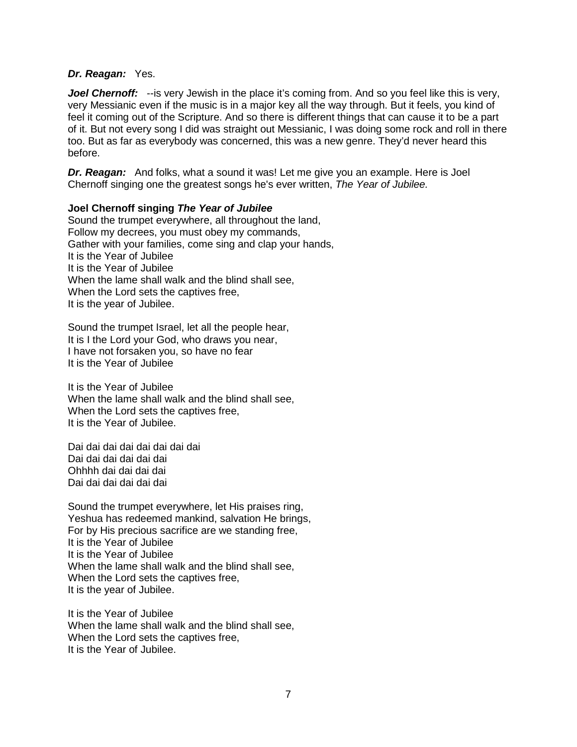#### *Dr. Reagan:* Yes.

Joel Chernoff: --is very Jewish in the place it's coming from. And so you feel like this is very, very Messianic even if the music is in a major key all the way through. But it feels, you kind of feel it coming out of the Scripture. And so there is different things that can cause it to be a part of it. But not every song I did was straight out Messianic, I was doing some rock and roll in there too. But as far as everybody was concerned, this was a new genre. They'd never heard this before.

*Dr. Reagan:* And folks, what a sound it was! Let me give you an example. Here is Joel Chernoff singing one the greatest songs he's ever written, *The Year of Jubilee.*

#### **Joel Chernoff singing** *The Year of Jubilee*

Sound the trumpet everywhere, all throughout the land, Follow my decrees, you must obey my commands, Gather with your families, come sing and clap your hands, It is the Year of Jubilee It is the Year of Jubilee When the lame shall walk and the blind shall see, When the Lord sets the captives free, It is the year of Jubilee.

Sound the trumpet Israel, let all the people hear, It is I the Lord your God, who draws you near, I have not forsaken you, so have no fear It is the Year of Jubilee

It is the Year of Jubilee When the lame shall walk and the blind shall see, When the Lord sets the captives free, It is the Year of Jubilee.

Dai dai dai dai dai dai dai dai Dai dai dai dai dai dai Ohhhh dai dai dai dai Dai dai dai dai dai dai

Sound the trumpet everywhere, let His praises ring, Yeshua has redeemed mankind, salvation He brings, For by His precious sacrifice are we standing free, It is the Year of Jubilee It is the Year of Jubilee When the lame shall walk and the blind shall see, When the Lord sets the captives free, It is the year of Jubilee.

It is the Year of Jubilee When the lame shall walk and the blind shall see, When the Lord sets the captives free, It is the Year of Jubilee.